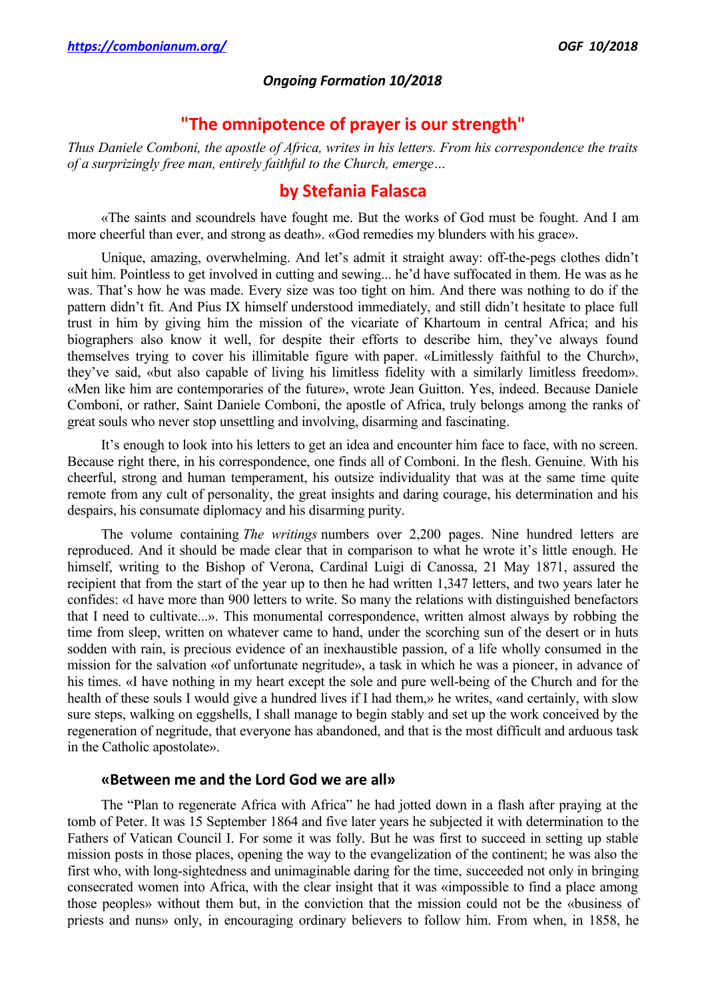#### *Ongoing Formation 10/2018*

# **"The omnipotence of prayer is our strength"**

*Thus Daniele Comboni, the apostle of Africa, writes in his letters. From his correspondence the traits of a surprizingly free man, entirely faithful to the Church, emerge…*

## **by Stefania Falasca**

«The saints and scoundrels have fought me. But the works of God must be fought. And I am more cheerful than ever, and strong as death». «God remedies my blunders with his grace».

Unique, amazing, overwhelming. And let's admit it straight away: off-the-pegs clothes didn't suit him. Pointless to get involved in cutting and sewing... he'd have suffocated in them. He was as he was. That's how he was made. Every size was too tight on him. And there was nothing to do if the pattern didn't fit. And Pius IX himself understood immediately, and still didn't hesitate to place full trust in him by giving him the mission of the vicariate of Khartoum in central Africa; and his biographers also know it well, for despite their efforts to describe him, they've always found themselves trying to cover his illimitable figure with paper. «Limitlessly faithful to the Church», they've said, «but also capable of living his limitless fidelity with a similarly limitless freedom». «Men like him are contemporaries of the future», wrote Jean Guitton. Yes, indeed. Because Daniele Comboni, or rather, Saint Daniele Comboni, the apostle of Africa, truly belongs among the ranks of great souls who never stop unsettling and involving, disarming and fascinating.

It's enough to look into his letters to get an idea and encounter him face to face, with no screen. Because right there, in his correspondence, one finds all of Comboni. In the flesh. Genuine. With his cheerful, strong and human temperament, his outsize individuality that was at the same time quite remote from any cult of personality, the great insights and daring courage, his determination and his despairs, his consumate diplomacy and his disarming purity.

The volume containing *The writings* numbers over 2,200 pages. Nine hundred letters are reproduced. And it should be made clear that in comparison to what he wrote it's little enough. He himself, writing to the Bishop of Verona, Cardinal Luigi di Canossa, 21 May 1871, assured the recipient that from the start of the year up to then he had written 1,347 letters, and two years later he confides: «I have more than 900 letters to write. So many the relations with distinguished benefactors that I need to cultivate...». This monumental correspondence, written almost always by robbing the time from sleep, written on whatever came to hand, under the scorching sun of the desert or in huts sodden with rain, is precious evidence of an inexhaustible passion, of a life wholly consumed in the mission for the salvation «of unfortunate negritude», a task in which he was a pioneer, in advance of his times. «I have nothing in my heart except the sole and pure well-being of the Church and for the health of these souls I would give a hundred lives if I had them,» he writes, «and certainly, with slow sure steps, walking on eggshells, I shall manage to begin stably and set up the work conceived by the regeneration of negritude, that everyone has abandoned, and that is the most difficult and arduous task in the Catholic apostolate».

### **«Between me and the Lord God we are all»**

The "Plan to regenerate Africa with Africa" he had jotted down in a flash after praying at the tomb of Peter. It was 15 September 1864 and five later years he subjected it with determination to the Fathers of Vatican Council I. For some it was folly. But he was first to succeed in setting up stable mission posts in those places, opening the way to the evangelization of the continent; he was also the first who, with long-sightedness and unimaginable daring for the time, succeeded not only in bringing consecrated women into Africa, with the clear insight that it was «impossible to find a place among those peoples» without them but, in the conviction that the mission could not be the «business of priests and nuns» only, in encouraging ordinary believers to follow him. From when, in 1858, he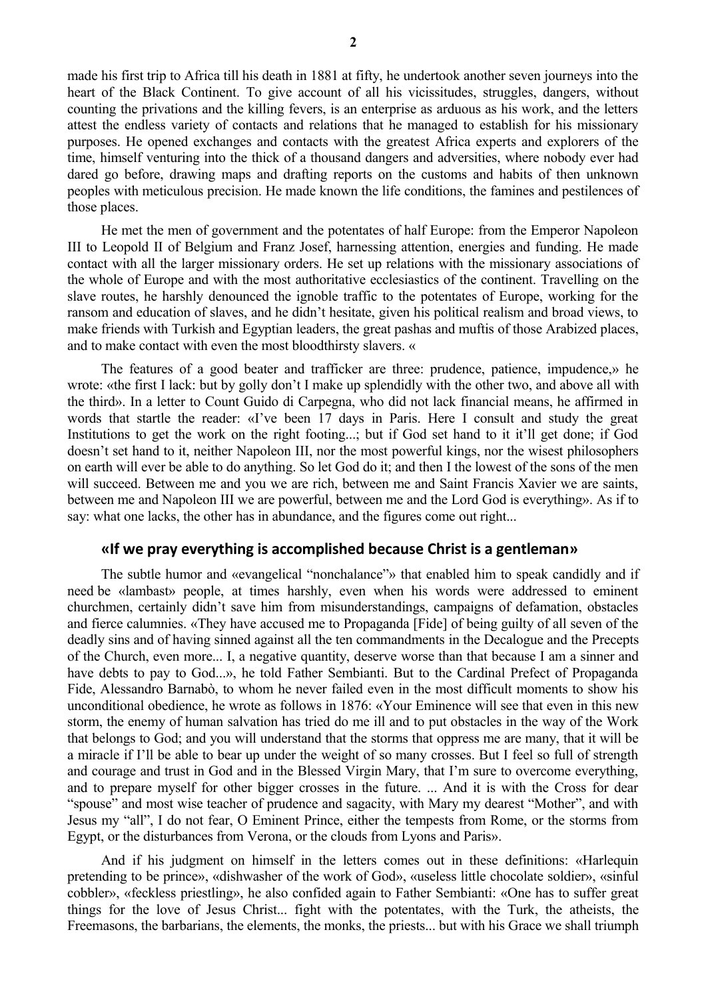made his first trip to Africa till his death in 1881 at fifty, he undertook another seven journeys into the heart of the Black Continent. To give account of all his vicissitudes, struggles, dangers, without counting the privations and the killing fevers, is an enterprise as arduous as his work, and the letters attest the endless variety of contacts and relations that he managed to establish for his missionary purposes. He opened exchanges and contacts with the greatest Africa experts and explorers of the time, himself venturing into the thick of a thousand dangers and adversities, where nobody ever had dared go before, drawing maps and drafting reports on the customs and habits of then unknown peoples with meticulous precision. He made known the life conditions, the famines and pestilences of those places.

He met the men of government and the potentates of half Europe: from the Emperor Napoleon III to Leopold II of Belgium and Franz Josef, harnessing attention, energies and funding. He made contact with all the larger missionary orders. He set up relations with the missionary associations of the whole of Europe and with the most authoritative ecclesiastics of the continent. Travelling on the slave routes, he harshly denounced the ignoble traffic to the potentates of Europe, working for the ransom and education of slaves, and he didn't hesitate, given his political realism and broad views, to make friends with Turkish and Egyptian leaders, the great pashas and muftis of those Arabized places, and to make contact with even the most bloodthirsty slavers. «

The features of a good beater and trafficker are three: prudence, patience, impudence,» he wrote: «the first I lack: but by golly don't I make up splendidly with the other two, and above all with the third». In a letter to Count Guido di Carpegna, who did not lack financial means, he affirmed in words that startle the reader: «I've been 17 days in Paris. Here I consult and study the great Institutions to get the work on the right footing...; but if God set hand to it it'll get done; if God doesn't set hand to it, neither Napoleon III, nor the most powerful kings, nor the wisest philosophers on earth will ever be able to do anything. So let God do it; and then I the lowest of the sons of the men will succeed. Between me and you we are rich, between me and Saint Francis Xavier we are saints, between me and Napoleon III we are powerful, between me and the Lord God is everything». As if to say: what one lacks, the other has in abundance, and the figures come out right...

### **«If we pray everything is accomplished because Christ is a gentleman»**

The subtle humor and «evangelical "nonchalance"» that enabled him to speak candidly and if need be «lambast» people, at times harshly, even when his words were addressed to eminent churchmen, certainly didn't save him from misunderstandings, campaigns of defamation, obstacles and fierce calumnies. «They have accused me to Propaganda [Fide] of being guilty of all seven of the deadly sins and of having sinned against all the ten commandments in the Decalogue and the Precepts of the Church, even more... I, a negative quantity, deserve worse than that because I am a sinner and have debts to pay to God...», he told Father Sembianti. But to the Cardinal Prefect of Propaganda Fide, Alessandro Barnabò, to whom he never failed even in the most difficult moments to show his unconditional obedience, he wrote as follows in 1876: «Your Eminence will see that even in this new storm, the enemy of human salvation has tried do me ill and to put obstacles in the way of the Work that belongs to God; and you will understand that the storms that oppress me are many, that it will be a miracle if I'll be able to bear up under the weight of so many crosses. But I feel so full of strength and courage and trust in God and in the Blessed Virgin Mary, that I'm sure to overcome everything, and to prepare myself for other bigger crosses in the future. ... And it is with the Cross for dear "spouse" and most wise teacher of prudence and sagacity, with Mary my dearest "Mother", and with Jesus my "all", I do not fear, O Eminent Prince, either the tempests from Rome, or the storms from Egypt, or the disturbances from Verona, or the clouds from Lyons and Paris».

And if his judgment on himself in the letters comes out in these definitions: «Harlequin pretending to be prince», «dishwasher of the work of God», «useless little chocolate soldier», «sinful cobbler», «feckless priestling», he also confided again to Father Sembianti: «One has to suffer great things for the love of Jesus Christ... fight with the potentates, with the Turk, the atheists, the Freemasons, the barbarians, the elements, the monks, the priests... but with his Grace we shall triumph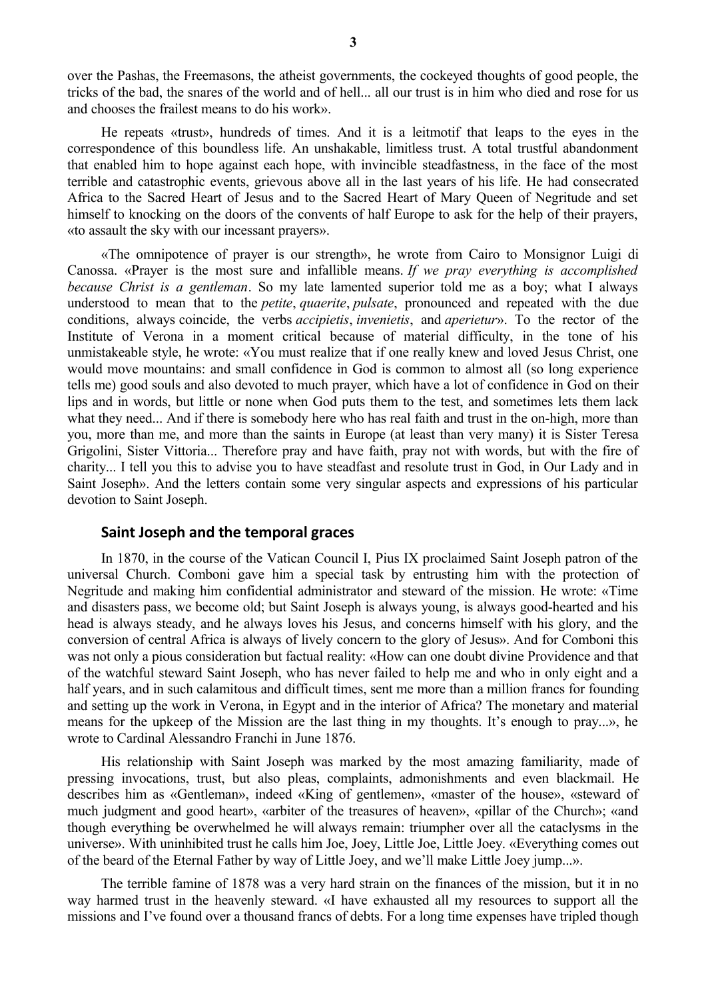over the Pashas, the Freemasons, the atheist governments, the cockeyed thoughts of good people, the tricks of the bad, the snares of the world and of hell... all our trust is in him who died and rose for us and chooses the frailest means to do his work».

He repeats «trust», hundreds of times. And it is a leitmotif that leaps to the eyes in the correspondence of this boundless life. An unshakable, limitless trust. A total trustful abandonment that enabled him to hope against each hope, with invincible steadfastness, in the face of the most terrible and catastrophic events, grievous above all in the last years of his life. He had consecrated Africa to the Sacred Heart of Jesus and to the Sacred Heart of Mary Queen of Negritude and set himself to knocking on the doors of the convents of half Europe to ask for the help of their prayers, «to assault the sky with our incessant prayers».

«The omnipotence of prayer is our strength», he wrote from Cairo to Monsignor Luigi di Canossa. «Prayer is the most sure and infallible means. *If we pray everything is accomplished because Christ is a gentleman*. So my late lamented superior told me as a boy; what I always understood to mean that to the *petite*, *quaerite*, *pulsate*, pronounced and repeated with the due conditions, always coincide, the verbs *accipietis*, *invenietis*, and *aperietur*». To the rector of the Institute of Verona in a moment critical because of material difficulty, in the tone of his unmistakeable style, he wrote: «You must realize that if one really knew and loved Jesus Christ, one would move mountains: and small confidence in God is common to almost all (so long experience tells me) good souls and also devoted to much prayer, which have a lot of confidence in God on their lips and in words, but little or none when God puts them to the test, and sometimes lets them lack what they need... And if there is somebody here who has real faith and trust in the on-high, more than you, more than me, and more than the saints in Europe (at least than very many) it is Sister Teresa Grigolini, Sister Vittoria... Therefore pray and have faith, pray not with words, but with the fire of charity... I tell you this to advise you to have steadfast and resolute trust in God, in Our Lady and in Saint Joseph». And the letters contain some very singular aspects and expressions of his particular devotion to Saint Joseph.

#### **Saint Joseph and the temporal graces**

In 1870, in the course of the Vatican Council I, Pius IX proclaimed Saint Joseph patron of the universal Church. Comboni gave him a special task by entrusting him with the protection of Negritude and making him confidential administrator and steward of the mission. He wrote: «Time and disasters pass, we become old; but Saint Joseph is always young, is always good-hearted and his head is always steady, and he always loves his Jesus, and concerns himself with his glory, and the conversion of central Africa is always of lively concern to the glory of Jesus». And for Comboni this was not only a pious consideration but factual reality: «How can one doubt divine Providence and that of the watchful steward Saint Joseph, who has never failed to help me and who in only eight and a half years, and in such calamitous and difficult times, sent me more than a million francs for founding and setting up the work in Verona, in Egypt and in the interior of Africa? The monetary and material means for the upkeep of the Mission are the last thing in my thoughts. It's enough to pray...», he wrote to Cardinal Alessandro Franchi in June 1876.

His relationship with Saint Joseph was marked by the most amazing familiarity, made of pressing invocations, trust, but also pleas, complaints, admonishments and even blackmail. He describes him as «Gentleman», indeed «King of gentlemen», «master of the house», «steward of much judgment and good heart», «arbiter of the treasures of heaven», «pillar of the Church»; «and though everything be overwhelmed he will always remain: triumpher over all the cataclysms in the universe». With uninhibited trust he calls him Joe, Joey, Little Joe, Little Joey. «Everything comes out of the beard of the Eternal Father by way of Little Joey, and we'll make Little Joey jump...».

The terrible famine of 1878 was a very hard strain on the finances of the mission, but it in no way harmed trust in the heavenly steward. «I have exhausted all my resources to support all the missions and I've found over a thousand francs of debts. For a long time expenses have tripled though